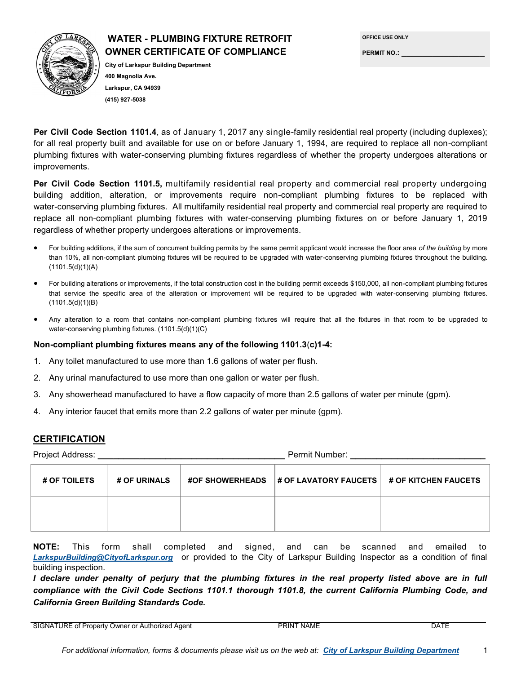## **WATER - PLUMBING FIXTURE RETROFIT OWNER CERTIFICATE OF COMPLIANCE**



## **City of Larkspur Building Department 400 Magnolia Ave. Larkspur, CA 94939 (415) 927-5038**

| <b>OFFICE USE ONLY</b> |
|------------------------|
| <b>PERMIT NO.:</b>     |

**Per Civil Code Section 1101.4**, as of January 1, 2017 any single-family residential real property (including duplexes); for all real property built and available for use on or before January 1, 1994, are required to replace all non-compliant plumbing fixtures with water-conserving plumbing fixtures regardless of whether the property undergoes alterations or improvements.

**Per Civil Code Section 1101.5,** multifamily residential real property and commercial real property undergoing building addition, alteration, or improvements require non-compliant plumbing fixtures to be replaced with water-conserving plumbing fixtures. All multifamily residential real property and commercial real property are required to replace all non-compliant plumbing fixtures with water-conserving plumbing fixtures on or before January 1, 2019 regardless of whether property undergoes alterations or improvements.

- For building additions, if the sum of concurrent building permits by the same permit applicant would increase the floor area *of the building* by more than 10%, all non-compliant plumbing fixtures will be required to be upgraded with water-conserving plumbing fixtures throughout the building.  $(1101.5(d)(1)(A))$
- For building alterations or improvements, if the total construction cost in the building permit exceeds \$150,000, all non-compliant plumbing fixtures that service the specific area of the alteration or improvement will be required to be upgraded with water-conserving plumbing fixtures. (1101.5(d)(1)(B)
- Any alteration to a room that contains non-compliant plumbing fixtures will require that all the fixtures in that room to be upgraded to water-conserving plumbing fixtures. (1101.5(d)(1)(C)

## **Non-compliant plumbing fixtures means any of the following 1101.3**(**c)1-4:**

- 1. Any toilet manufactured to use more than 1.6 gallons of water per flush.
- 2. Any urinal manufactured to use more than one gallon or water per flush.
- 3. Any showerhead manufactured to have a flow capacity of more than 2.5 gallons of water per minute (gpm).
- 4. Any interior faucet that emits more than 2.2 gallons of water per minute (gpm).

## **CERTIFICATION**

Project Address: **\_\_\_\_\_\_\_\_\_\_\_\_\_\_\_\_\_\_\_\_\_\_\_\_\_\_\_\_\_\_\_\_\_\_\_\_** Permit Number: **\_\_\_\_\_\_\_\_\_\_\_\_\_\_\_\_\_\_\_\_\_\_\_\_\_\_**

| # OF TOILETS | <b># OF URINALS</b> | #OF SHOWERHEADS  # OF LAVATORY FAUCETS   # OF KITCHEN FAUCETS |  |
|--------------|---------------------|---------------------------------------------------------------|--|
|              |                     |                                                               |  |

**NOTE:** This form shall completed and signed, and can be scanned and emailed to *LarkspurBuilding@CityofLarkspur.org* or provided to the City of Larkspur Building Inspector as a condition of final building inspection.

*I declare under penalty of perjury that the plumbing fixtures in the real property listed above are in full compliance with the Civil Code Sections 1101.1 thorough 1101.8, the current California Plumbing Code, and California Green Building Standards Code.*

SIGNATURE of Property Owner or Authorized Agent **PRINT NAME** PRINT NAME **DATE**